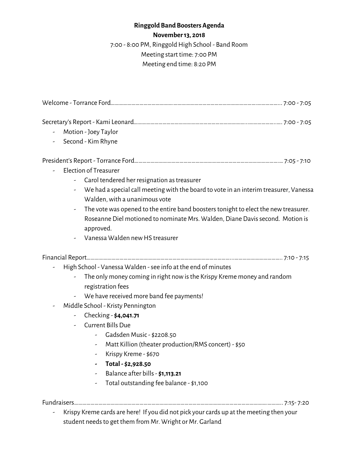## **Ringgold Band Boosters Agenda**

## **November13, 2018**

7:00 - 8:00 PM, Ringgold High School - Band Room Meeting start time: 7:00 PM Meeting end time: 8:20 PM

| Motion - Joey Taylor<br>Second - Kim Rhyne                                                                                                                                                                                                                                                                                                                                                                                                                                                                          |  |
|---------------------------------------------------------------------------------------------------------------------------------------------------------------------------------------------------------------------------------------------------------------------------------------------------------------------------------------------------------------------------------------------------------------------------------------------------------------------------------------------------------------------|--|
| Election of Treasurer<br>Carol tendered her resignation as treasurer<br>We had a special call meeting with the board to vote in an interim treasurer, Vanessa<br>۰.<br>Walden, with a unanimous vote<br>The vote was opened to the entire band boosters tonight to elect the new treasurer.<br>Roseanne Diel motioned to nominate Mrs. Walden, Diane Davis second. Motion is<br>approved.<br>Vanessa Walden new HS treasurer                                                                                        |  |
| High School - Vanessa Walden - see info at the end of minutes<br>The only money coming in right now is the Krispy Kreme money and random<br>registration fees<br>We have received more band fee payments!<br>Middle School - Kristy Pennington<br>Checking - \$4,041.71<br>Current Bills Due<br>Gadsden Music - \$2208.50<br>Matt Killion (theater production/RMS concert) - \$50<br>-<br>Krispy Kreme - \$670<br>Total - \$2,928.50<br>Balance after bills - \$1,113.21<br>Total outstanding fee balance - \$1,100 |  |
| Krispy Kreme cards are here! If you did not pick your cards up at the meeting then your<br>student needs to get them from Mr. Wright or Mr. Garland                                                                                                                                                                                                                                                                                                                                                                 |  |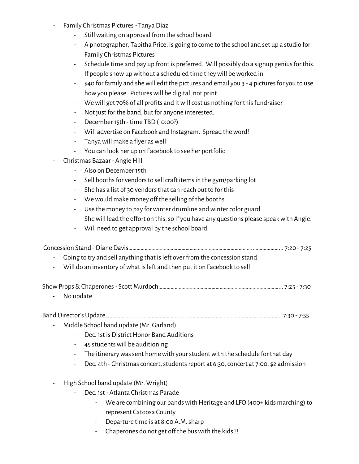- Family Christmas Pictures- Tanya Diaz
	- Still waiting on approval from the school board
	- A photographer, Tabitha Price, is going to come to the school and set up a studio for Family Christmas Pictures
	- Schedule time and pay up front is preferred. Will possibly do a signup genius for this. If people show up without a scheduled time they will be worked in
	- \$40 for family and shewill edit the pictures and email you 3 4 picturesfor you to use how you please. Pictures will be digital, not print
	- We will get 70% of all profits and it will cost us nothing for this fundraiser
	- Not just for the band, but for anyone interested.
	- December15th time TBD (10:00?)
	- Will advertise on Facebook and Instagram. Spread theword!
	- Tanya will make a flyer as well
	- You can look her up on Facebook to see her portfolio
- Christmas Bazaar Angie Hill
	- Also on December15th
		- Sell booths for vendors to sell craft items in the gym/parking lot
	- She has a list of 30 vendors that can reach out to for this
	- Wewould make money off the selling of the booths
	- Use the money to pay for winter drumline and winter color guard
	- She will lead the effort on this, so if you have any questions please speak with Angie!
	- Will need to get approval by the school board

| - Going to try and sell anything that is left over from the concession stand |  |
|------------------------------------------------------------------------------|--|

- Will do an inventory ofwhat isleft and then put it on Facebook to sell

ShowProps&Chaperones- Scott Murdoch………………………………………………………….…………………... 7:25 - 7:30

- No update

Band Director's Update………………………………………………………………………………………………….…………….. 7:30 - 7:55

- Middle School band update (Mr. Garland)
	- Dec. 1st is District Honor Band Auditions
	- 45 studentswill be auditioning
	- The itinerary was sent home with your student with the schedule for that day
	- Dec. 4th Christmas concert, students report at 6:30, concert at 7:00, \$2 admission
- High School band update (Mr. Wright)
	- Dec.1st Atlanta Christmas Parade
		- We are combining our bands with Heritage and LFO (400+ kids marching) to represent Catoosa County
		- Departure time is at 8:00 A.M. sharp
		- Chaperones do not get off the bus with the kids!!!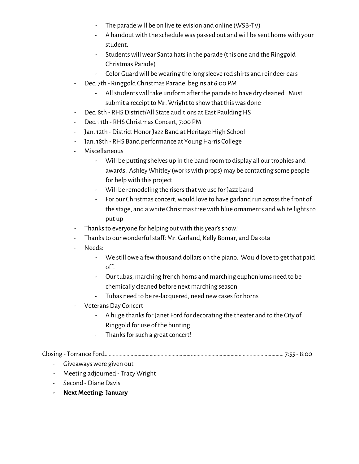- The parade will be on live television and online (WSB-TV)
- A handout with the schedule was passed out and will be sent home with your student.
- Students will wear Santa hats in the parade (this one and the Ringgold Christmas Parade)
- Color Guard will be wearing the long sleeve red shirts and reindeer ears
- Dec. 7th Ringgold Christmas Parade, begins at 6:00 PM
	- Allstudentswill take uniform after the parade to have dry cleaned. Must submit a receipt to Mr. Wright to show that this was done
- Dec. 8th RHS District/All State auditions at East Paulding HS
- Dec.11th RHS Christmas Concert, 7:00 PM
- Jan. 12th District Honor Jazz Band at Heritage High School
- Jan. 18th RHS Band performance at Young Harris College
- Miscellaneous
	- Will be putting shelves up in the band room to display all our trophies and awards. Ashley Whitley (workswith props) may be contacting some people for helpwith this project
	- Will be remodeling the risers that we use for Jazz band
	- For our Christmas concert, would love to have garland run across the front of the stage, and a white Christmas tree with blue ornaments and white lights to put up
- Thanks to everyone for helping out with this year's show!
- Thanksto ourwonderfulstaff: Mr. Garland, Kelly Bomar, and Dakota
- Needs:
	- We still owe a fewthousand dollars on the piano. Would love to get that paid off.
	- Our tubas, marching french horns and marching euphoniums need to be chemically cleaned before next marching season
	- Tubas need to be re-lacquered, need newcasesfor horns
- Veterans Day Concert
	- A huge thanks for Janet Ford for decorating the theater and to the City of Ringgold for use of the bunting.
	- Thanks for such a great concert!

Closing - Torrance Ford………………………………………………………..………………………………………………………… 7:55 - 8:00

- Giveaways were given out
- Meeting adjourned Tracy Wright
- Second Diane Davis
- **- NextMeeting: January**